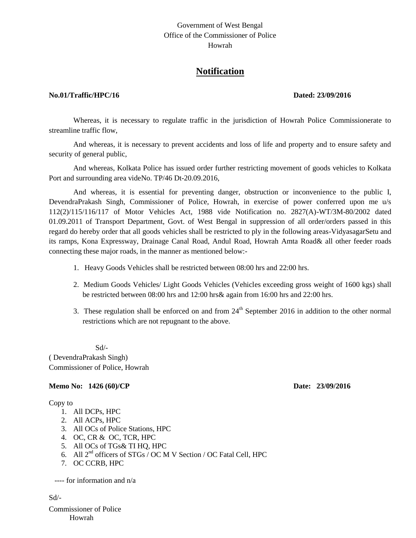## Government of West Bengal Office of the Commissioner of Police Howrah

# **Notification**

### **No.01/Traffic/HPC/16 Dated: 23/09/2016**

Whereas, it is necessary to regulate traffic in the jurisdiction of Howrah Police Commissionerate to streamline traffic flow,

And whereas, it is necessary to prevent accidents and loss of life and property and to ensure safety and security of general public,

And whereas, Kolkata Police has issued order further restricting movement of goods vehicles to Kolkata Port and surrounding area videNo. TP/46 Dt-20.09.2016,

And whereas, it is essential for preventing danger, obstruction or inconvenience to the public I, DevendraPrakash Singh, Commissioner of Police, Howrah, in exercise of power conferred upon me u/s 112(2)/115/116/117 of Motor Vehicles Act, 1988 vide Notification no. 2827(A)-WT/3M-80/2002 dated 01.09.2011 of Transport Department, Govt. of West Bengal in suppression of all order/orders passed in this regard do hereby order that all goods vehicles shall be restricted to ply in the following areas-VidyasagarSetu and its ramps, Kona Expressway, Drainage Canal Road, Andul Road, Howrah Amta Road& all other feeder roads connecting these major roads, in the manner as mentioned below:-

- 1. Heavy Goods Vehicles shall be restricted between 08:00 hrs and 22:00 hrs.
- 2. Medium Goods Vehicles/ Light Goods Vehicles (Vehicles exceeding gross weight of 1600 kgs) shall be restricted between 08:00 hrs and 12:00 hrs& again from 16:00 hrs and 22:00 hrs.
- 3. These regulation shall be enforced on and from  $24<sup>th</sup>$  September 2016 in addition to the other normal restrictions which are not repugnant to the above.

Sd/-

( DevendraPrakash Singh) Commissioner of Police, Howrah

### **Memo No: 1426 (60)/CP Date: 23/09/2016**

### Copy to

- 1. All DCPs, HPC
- 2. All ACPs, HPC
- 3. All OCs of Police Stations, HPC
- 4. OC, CR & OC, TCR, HPC
- 5. All OCs of TGs& TI HQ, HPC
- 6. All  $2^{nd}$  officers of STGs / OC M V Section / OC Fatal Cell, HPC
- 7. OC CCRB, HPC

---- for information and n/a

Sd/-

Commissioner of Police Howrah